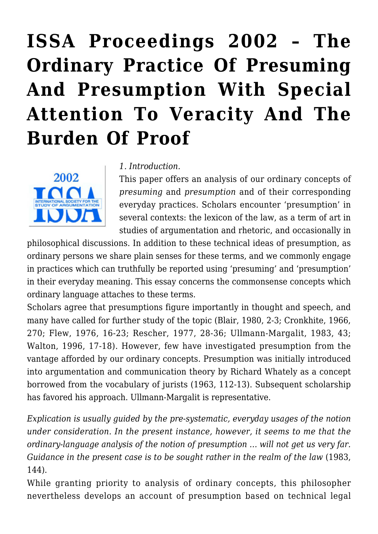# **[ISSA Proceedings 2002 – The](https://rozenbergquarterly.com/issa-proceedings-2002-the-ordinary-practice-of-presuming-and-presumption-with-special-attention-to-veracity-and-the-burden-of-proof/) [Ordinary Practice Of Presuming](https://rozenbergquarterly.com/issa-proceedings-2002-the-ordinary-practice-of-presuming-and-presumption-with-special-attention-to-veracity-and-the-burden-of-proof/) [And Presumption With Special](https://rozenbergquarterly.com/issa-proceedings-2002-the-ordinary-practice-of-presuming-and-presumption-with-special-attention-to-veracity-and-the-burden-of-proof/) [Attention To Veracity And The](https://rozenbergquarterly.com/issa-proceedings-2002-the-ordinary-practice-of-presuming-and-presumption-with-special-attention-to-veracity-and-the-burden-of-proof/) [Burden Of Proof](https://rozenbergquarterly.com/issa-proceedings-2002-the-ordinary-practice-of-presuming-and-presumption-with-special-attention-to-veracity-and-the-burden-of-proof/)**



#### *1. Introduction.*

This paper offers an analysis of our ordinary concepts of *presuming* and *presumption* and of their corresponding everyday practices. Scholars encounter 'presumption' in several contexts: the lexicon of the law, as a term of art in studies of argumentation and rhetoric, and occasionally in

philosophical discussions. In addition to these technical ideas of presumption, as ordinary persons we share plain senses for these terms, and we commonly engage in practices which can truthfully be reported using 'presuming' and 'presumption' in their everyday meaning. This essay concerns the commonsense concepts which ordinary language attaches to these terms.

Scholars agree that presumptions figure importantly in thought and speech, and many have called for further study of the topic (Blair, 1980, 2-3; Cronkhite, 1966, 270; Flew, 1976, 16-23; Rescher, 1977, 28-36; Ullmann-Margalit, 1983, 43; Walton, 1996, 17-18). However, few have investigated presumption from the vantage afforded by our ordinary concepts. Presumption was initially introduced into argumentation and communication theory by Richard Whately as a concept borrowed from the vocabulary of jurists (1963, 112-13). Subsequent scholarship has favored his approach. Ullmann-Margalit is representative.

*Explication is usually guided by the pre-systematic, everyday usages of the notion under consideration. In the present instance, however, it seems to me that the ordinary-language analysis of the notion of presumption … will not get us very far. Guidance in the present case is to be sought rather in the realm of the law* (1983, 144).

While granting priority to analysis of ordinary concepts, this philosopher nevertheless develops an account of presumption based on technical legal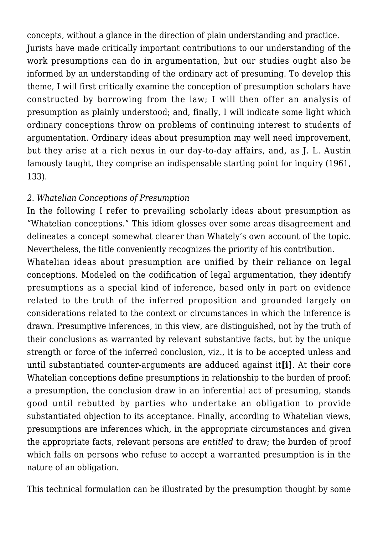concepts, without a glance in the direction of plain understanding and practice. Jurists have made critically important contributions to our understanding of the work presumptions can do in argumentation, but our studies ought also be informed by an understanding of the ordinary act of presuming. To develop this theme, I will first critically examine the conception of presumption scholars have constructed by borrowing from the law; I will then offer an analysis of presumption as plainly understood; and, finally, I will indicate some light which ordinary conceptions throw on problems of continuing interest to students of argumentation. Ordinary ideas about presumption may well need improvement, but they arise at a rich nexus in our day-to-day affairs, and, as J. L. Austin famously taught, they comprise an indispensable starting point for inquiry (1961, 133).

## *2. Whatelian Conceptions of Presumption*

In the following I refer to prevailing scholarly ideas about presumption as "Whatelian conceptions." This idiom glosses over some areas disagreement and delineates a concept somewhat clearer than Whately's own account of the topic. Nevertheless, the title conveniently recognizes the priority of his contribution.

Whatelian ideas about presumption are unified by their reliance on legal conceptions. Modeled on the codification of legal argumentation, they identify presumptions as a special kind of inference, based only in part on evidence related to the truth of the inferred proposition and grounded largely on considerations related to the context or circumstances in which the inference is drawn. Presumptive inferences, in this view, are distinguished, not by the truth of their conclusions as warranted by relevant substantive facts, but by the unique strength or force of the inferred conclusion, viz., it is to be accepted unless and until substantiated counter-arguments are adduced against it**[i]**. At their core Whatelian conceptions define presumptions in relationship to the burden of proof: a presumption, the conclusion draw in an inferential act of presuming, stands good until rebutted by parties who undertake an obligation to provide substantiated objection to its acceptance. Finally, according to Whatelian views, presumptions are inferences which, in the appropriate circumstances and given the appropriate facts, relevant persons are *entitled* to draw; the burden of proof which falls on persons who refuse to accept a warranted presumption is in the nature of an obligation.

This technical formulation can be illustrated by the presumption thought by some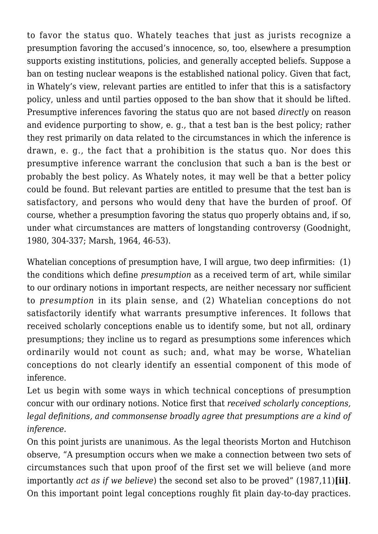to favor the status quo. Whately teaches that just as jurists recognize a presumption favoring the accused's innocence, so, too, elsewhere a presumption supports existing institutions, policies, and generally accepted beliefs. Suppose a ban on testing nuclear weapons is the established national policy. Given that fact, in Whately's view, relevant parties are entitled to infer that this is a satisfactory policy, unless and until parties opposed to the ban show that it should be lifted. Presumptive inferences favoring the status quo are not based *directly* on reason and evidence purporting to show, e. g., that a test ban is the best policy; rather they rest primarily on data related to the circumstances in which the inference is drawn, e. g., the fact that a prohibition is the status quo. Nor does this presumptive inference warrant the conclusion that such a ban is the best or probably the best policy. As Whately notes, it may well be that a better policy could be found. But relevant parties are entitled to presume that the test ban is satisfactory, and persons who would deny that have the burden of proof. Of course, whether a presumption favoring the status quo properly obtains and, if so, under what circumstances are matters of longstanding controversy (Goodnight, 1980, 304-337; Marsh, 1964, 46-53).

Whatelian conceptions of presumption have, I will argue, two deep infirmities: (1) the conditions which define *presumption* as a received term of art, while similar to our ordinary notions in important respects, are neither necessary nor sufficient to *presumption* in its plain sense, and (2) Whatelian conceptions do not satisfactorily identify what warrants presumptive inferences. It follows that received scholarly conceptions enable us to identify some, but not all, ordinary presumptions; they incline us to regard as presumptions some inferences which ordinarily would not count as such; and, what may be worse, Whatelian conceptions do not clearly identify an essential component of this mode of inference.

Let us begin with some ways in which technical conceptions of presumption concur with our ordinary notions. Notice first that *received scholarly conceptions, legal definitions, and commonsense broadly agree that presumptions are a kind of inference.*

On this point jurists are unanimous. As the legal theorists Morton and Hutchison observe, "A presumption occurs when we make a connection between two sets of circumstances such that upon proof of the first set we will believe (and more importantly *act as if we believe*) the second set also to be proved" (1987,11)**[ii]**. On this important point legal conceptions roughly fit plain day-to-day practices.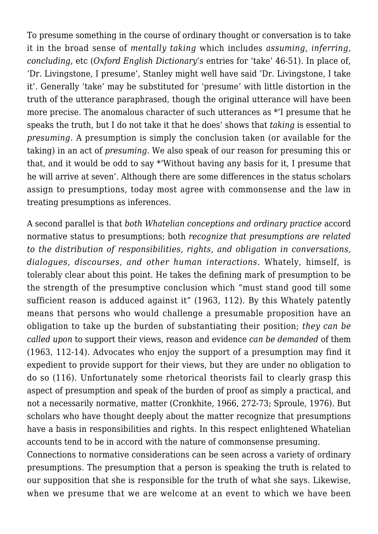To presume something in the course of ordinary thought or conversation is to take it in the broad sense of *mentally taking* which includes *assuming, inferring, concluding*, etc (*Oxford English Dictionary's* entries for 'take' 46-51). In place of, 'Dr. Livingstone, I presume', Stanley might well have said 'Dr. Livingstone, I take it'. Generally 'take' may be substituted for 'presume' with little distortion in the truth of the utterance paraphrased, though the original utterance will have been more precise. The anomalous character of such utterances as \*'I presume that he speaks the truth, but I do not take it that he does' shows that *taking* is essential to *presuming.* A presumption is simply the conclusion taken (or available for the taking) in an act of *presuming*. We also speak of our reason for presuming this or that, and it would be odd to say \*'Without having any basis for it, I presume that he will arrive at seven'. Although there are some differences in the status scholars assign to presumptions, today most agree with commonsense and the law in treating presumptions as inferences.

A second parallel is that *both Whatelian conceptions and ordinary practice* accord normative status to presumptions; both *recognize that presumptions are related to the distribution of responsibilities, rights, and obligation in conversations, dialogues, discourses, and other human interactions*. Whately, himself, is tolerably clear about this point. He takes the defining mark of presumption to be the strength of the presumptive conclusion which "must stand good till some sufficient reason is adduced against it" (1963, 112). By this Whately patently means that persons who would challenge a presumable proposition have an obligation to take up the burden of substantiating their position; *they can be called upon* to support their views, reason and evidence *can be demanded* of them (1963, 112-14). Advocates who enjoy the support of a presumption may find it expedient to provide support for their views, but they are under no obligation to do so (116). Unfortunately some rhetorical theorists fail to clearly grasp this aspect of presumption and speak of the burden of proof as simply a practical, and not a necessarily normative, matter (Cronkhite, 1966, 272-73; Sproule, 1976). But scholars who have thought deeply about the matter recognize that presumptions have a basis in responsibilities and rights. In this respect enlightened Whatelian accounts tend to be in accord with the nature of commonsense presuming.

Connections to normative considerations can be seen across a variety of ordinary presumptions. The presumption that a person is speaking the truth is related to our supposition that she is responsible for the truth of what she says. Likewise, when we presume that we are welcome at an event to which we have been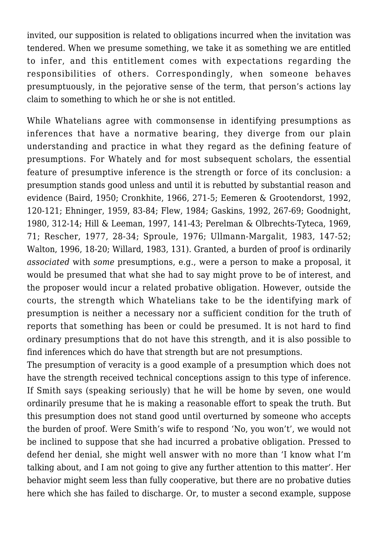invited, our supposition is related to obligations incurred when the invitation was tendered. When we presume something, we take it as something we are entitled to infer, and this entitlement comes with expectations regarding the responsibilities of others. Correspondingly, when someone behaves presumptuously, in the pejorative sense of the term, that person's actions lay claim to something to which he or she is not entitled.

While Whatelians agree with commonsense in identifying presumptions as inferences that have a normative bearing, they diverge from our plain understanding and practice in what they regard as the defining feature of presumptions. For Whately and for most subsequent scholars, the essential feature of presumptive inference is the strength or force of its conclusion: a presumption stands good unless and until it is rebutted by substantial reason and evidence (Baird, 1950; Cronkhite, 1966, 271-5; Eemeren & Grootendorst, 1992, 120-121; Ehninger, 1959, 83-84; Flew, 1984; Gaskins, 1992, 267-69; Goodnight, 1980, 312-14; Hill & Leeman, 1997, 141-43; Perelman & Olbrechts-Tyteca, 1969, 71; Rescher, 1977, 28-34; Sproule, 1976; Ullmann-Margalit, 1983, 147-52; Walton, 1996, 18-20; Willard, 1983, 131). Granted, a burden of proof is ordinarily *associated* with *some* presumptions, e.g., were a person to make a proposal, it would be presumed that what she had to say might prove to be of interest, and the proposer would incur a related probative obligation. However, outside the courts, the strength which Whatelians take to be the identifying mark of presumption is neither a necessary nor a sufficient condition for the truth of reports that something has been or could be presumed. It is not hard to find ordinary presumptions that do not have this strength, and it is also possible to find inferences which do have that strength but are not presumptions.

The presumption of veracity is a good example of a presumption which does not have the strength received technical conceptions assign to this type of inference. If Smith says (speaking seriously) that he will be home by seven, one would ordinarily presume that he is making a reasonable effort to speak the truth. But this presumption does not stand good until overturned by someone who accepts the burden of proof. Were Smith's wife to respond 'No, you won't', we would not be inclined to suppose that she had incurred a probative obligation. Pressed to defend her denial, she might well answer with no more than 'I know what I'm talking about, and I am not going to give any further attention to this matter'. Her behavior might seem less than fully cooperative, but there are no probative duties here which she has failed to discharge. Or, to muster a second example, suppose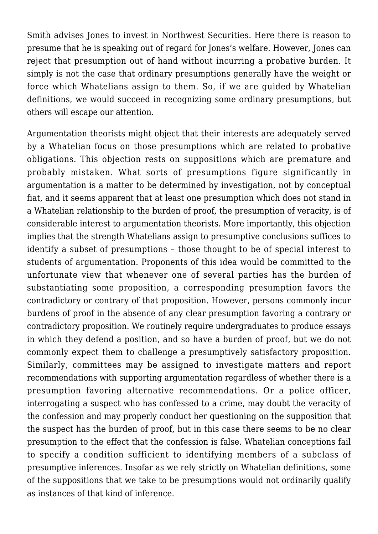Smith advises Jones to invest in Northwest Securities. Here there is reason to presume that he is speaking out of regard for Jones's welfare. However, Jones can reject that presumption out of hand without incurring a probative burden. It simply is not the case that ordinary presumptions generally have the weight or force which Whatelians assign to them. So, if we are guided by Whatelian definitions, we would succeed in recognizing some ordinary presumptions, but others will escape our attention.

Argumentation theorists might object that their interests are adequately served by a Whatelian focus on those presumptions which are related to probative obligations. This objection rests on suppositions which are premature and probably mistaken. What sorts of presumptions figure significantly in argumentation is a matter to be determined by investigation, not by conceptual fiat, and it seems apparent that at least one presumption which does not stand in a Whatelian relationship to the burden of proof, the presumption of veracity, is of considerable interest to argumentation theorists. More importantly, this objection implies that the strength Whatelians assign to presumptive conclusions suffices to identify a subset of presumptions – those thought to be of special interest to students of argumentation. Proponents of this idea would be committed to the unfortunate view that whenever one of several parties has the burden of substantiating some proposition, a corresponding presumption favors the contradictory or contrary of that proposition. However, persons commonly incur burdens of proof in the absence of any clear presumption favoring a contrary or contradictory proposition. We routinely require undergraduates to produce essays in which they defend a position, and so have a burden of proof, but we do not commonly expect them to challenge a presumptively satisfactory proposition. Similarly, committees may be assigned to investigate matters and report recommendations with supporting argumentation regardless of whether there is a presumption favoring alternative recommendations. Or a police officer, interrogating a suspect who has confessed to a crime, may doubt the veracity of the confession and may properly conduct her questioning on the supposition that the suspect has the burden of proof, but in this case there seems to be no clear presumption to the effect that the confession is false. Whatelian conceptions fail to specify a condition sufficient to identifying members of a subclass of presumptive inferences. Insofar as we rely strictly on Whatelian definitions, some of the suppositions that we take to be presumptions would not ordinarily qualify as instances of that kind of inference.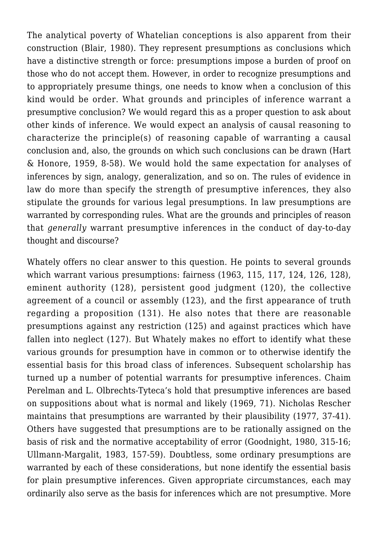The analytical poverty of Whatelian conceptions is also apparent from their construction (Blair, 1980). They represent presumptions as conclusions which have a distinctive strength or force: presumptions impose a burden of proof on those who do not accept them. However, in order to recognize presumptions and to appropriately presume things, one needs to know when a conclusion of this kind would be order. What grounds and principles of inference warrant a presumptive conclusion? We would regard this as a proper question to ask about other kinds of inference. We would expect an analysis of causal reasoning to characterize the principle(s) of reasoning capable of warranting a causal conclusion and, also, the grounds on which such conclusions can be drawn (Hart & Honore, 1959, 8-58). We would hold the same expectation for analyses of inferences by sign, analogy, generalization, and so on. The rules of evidence in law do more than specify the strength of presumptive inferences, they also stipulate the grounds for various legal presumptions. In law presumptions are warranted by corresponding rules. What are the grounds and principles of reason that *generally* warrant presumptive inferences in the conduct of day-to-day thought and discourse?

Whately offers no clear answer to this question. He points to several grounds which warrant various presumptions: fairness (1963, 115, 117, 124, 126, 128), eminent authority (128), persistent good judgment (120), the collective agreement of a council or assembly (123), and the first appearance of truth regarding a proposition (131). He also notes that there are reasonable presumptions against any restriction (125) and against practices which have fallen into neglect (127). But Whately makes no effort to identify what these various grounds for presumption have in common or to otherwise identify the essential basis for this broad class of inferences. Subsequent scholarship has turned up a number of potential warrants for presumptive inferences. Chaim Perelman and L. Olbrechts-Tyteca's hold that presumptive inferences are based on suppositions about what is normal and likely (1969, 71). Nicholas Rescher maintains that presumptions are warranted by their plausibility (1977, 37-41). Others have suggested that presumptions are to be rationally assigned on the basis of risk and the normative acceptability of error (Goodnight, 1980, 315-16; Ullmann-Margalit, 1983, 157-59). Doubtless, some ordinary presumptions are warranted by each of these considerations, but none identify the essential basis for plain presumptive inferences. Given appropriate circumstances, each may ordinarily also serve as the basis for inferences which are not presumptive. More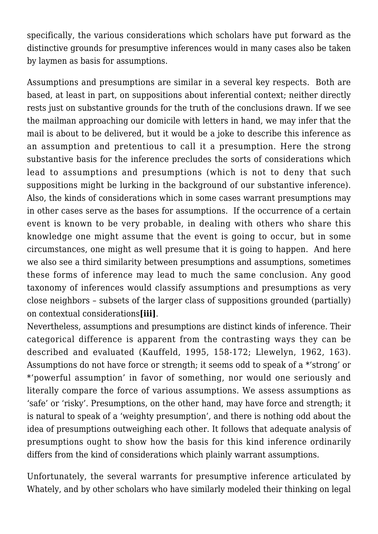specifically, the various considerations which scholars have put forward as the distinctive grounds for presumptive inferences would in many cases also be taken by laymen as basis for assumptions.

Assumptions and presumptions are similar in a several key respects. Both are based, at least in part, on suppositions about inferential context; neither directly rests just on substantive grounds for the truth of the conclusions drawn. If we see the mailman approaching our domicile with letters in hand, we may infer that the mail is about to be delivered, but it would be a joke to describe this inference as an assumption and pretentious to call it a presumption. Here the strong substantive basis for the inference precludes the sorts of considerations which lead to assumptions and presumptions (which is not to deny that such suppositions might be lurking in the background of our substantive inference). Also, the kinds of considerations which in some cases warrant presumptions may in other cases serve as the bases for assumptions. If the occurrence of a certain event is known to be very probable, in dealing with others who share this knowledge one might assume that the event is going to occur, but in some circumstances, one might as well presume that it is going to happen. And here we also see a third similarity between presumptions and assumptions, sometimes these forms of inference may lead to much the same conclusion. Any good taxonomy of inferences would classify assumptions and presumptions as very close neighbors – subsets of the larger class of suppositions grounded (partially) on contextual considerations**[iii]**.

Nevertheless, assumptions and presumptions are distinct kinds of inference. Their categorical difference is apparent from the contrasting ways they can be described and evaluated (Kauffeld, 1995, 158-172; Llewelyn, 1962, 163). Assumptions do not have force or strength; it seems odd to speak of a \*'strong' or \*'powerful assumption' in favor of something, nor would one seriously and literally compare the force of various assumptions. We assess assumptions as 'safe' or 'risky'. Presumptions, on the other hand, may have force and strength; it is natural to speak of a 'weighty presumption', and there is nothing odd about the idea of presumptions outweighing each other. It follows that adequate analysis of presumptions ought to show how the basis for this kind inference ordinarily differs from the kind of considerations which plainly warrant assumptions.

Unfortunately, the several warrants for presumptive inference articulated by Whately, and by other scholars who have similarly modeled their thinking on legal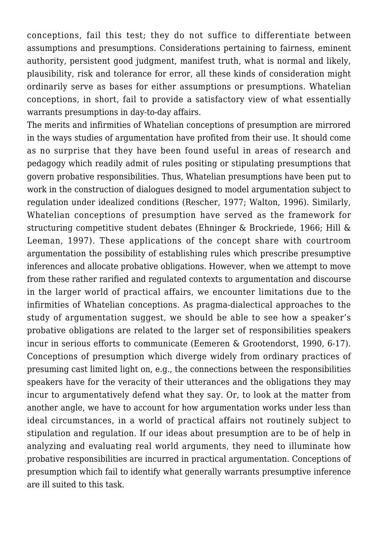conceptions, fail this test; they do not suffice to differentiate between assumptions and presumptions. Considerations pertaining to fairness, eminent authority, persistent good judgment, manifest truth, what is normal and likely, plausibility, risk and tolerance for error, all these kinds of consideration might ordinarily serve as bases for either assumptions or presumptions. Whatelian conceptions, in short, fail to provide a satisfactory view of what essentially warrants presumptions in day-to-day affairs.

The merits and infirmities of Whatelian conceptions of presumption are mirrored in the ways studies of argumentation have profited from their use. It should come as no surprise that they have been found useful in areas of research and pedagogy which readily admit of rules positing or stipulating presumptions that govern probative responsibilities. Thus, Whatelian presumptions have been put to work in the construction of dialogues designed to model argumentation subject to regulation under idealized conditions (Rescher, 1977; Walton, 1996). Similarly, Whatelian conceptions of presumption have served as the framework for structuring competitive student debates (Ehninger & Brockriede, 1966; Hill & Leeman, 1997). These applications of the concept share with courtroom argumentation the possibility of establishing rules which prescribe presumptive inferences and allocate probative obligations. However, when we attempt to move from these rather rarified and regulated contexts to argumentation and discourse in the larger world of practical affairs, we encounter limitations due to the infirmities of Whatelian conceptions. As pragma-dialectical approaches to the study of argumentation suggest, we should be able to see how a speaker's probative obligations are related to the larger set of responsibilities speakers incur in serious efforts to communicate (Eemeren & Grootendorst, 1990, 6-17). Conceptions of presumption which diverge widely from ordinary practices of presuming cast limited light on, e.g., the connections between the responsibilities speakers have for the veracity of their utterances and the obligations they may incur to argumentatively defend what they say. Or, to look at the matter from another angle, we have to account for how argumentation works under less than ideal circumstances, in a world of practical affairs not routinely subject to stipulation and regulation. If our ideas about presumption are to be of help in analyzing and evaluating real world arguments, they need to illuminate how probative responsibilities are incurred in practical argumentation. Conceptions of presumption which fail to identify what generally warrants presumptive inference are ill suited to this task.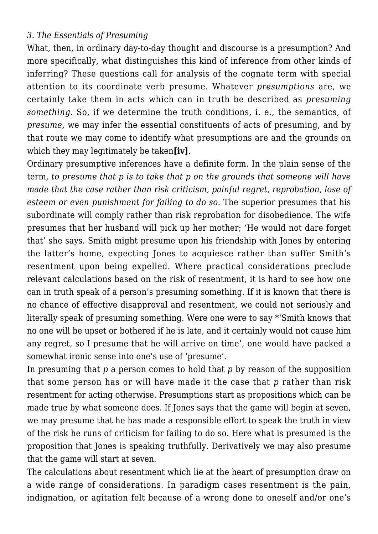### *3. The Essentials of Presuming*

What, then, in ordinary day-to-day thought and discourse is a presumption? And more specifically, what distinguishes this kind of inference from other kinds of inferring? These questions call for analysis of the cognate term with special attention to its coordinate verb presume. Whatever *presumptions* are, we certainly take them in acts which can in truth be described as *presuming something*. So, if we determine the truth conditions, i. e., the semantics, of *presume*, we may infer the essential constituents of acts of presuming, and by that route we may come to identify what presumptions are and the grounds on which they may legitimately be taken**[iv]**.

Ordinary presumptive inferences have a definite form. In the plain sense of the term, *to presume that p is to take that p on the grounds that someone will have made that the case rather than risk criticism, painful regret, reprobation, lose of esteem or even punishment for failing to do so*. The superior presumes that his subordinate will comply rather than risk reprobation for disobedience. The wife presumes that her husband will pick up her mother; 'He would not dare forget that' she says. Smith might presume upon his friendship with Jones by entering the latter's home, expecting Jones to acquiesce rather than suffer Smith's resentment upon being expelled. Where practical considerations preclude relevant calculations based on the risk of resentment, it is hard to see how one can in truth speak of a person's presuming something. If it is known that there is no chance of effective disapproval and resentment, we could not seriously and literally speak of presuming something. Were one were to say \*'Smith knows that no one will be upset or bothered if he is late, and it certainly would not cause him any regret, so I presume that he will arrive on time', one would have packed a somewhat ironic sense into one's use of 'presume'.

In presuming that *p* a person comes to hold that *p* by reason of the supposition that some person has or will have made it the case that *p* rather than risk resentment for acting otherwise. Presumptions start as propositions which can be made true by what someone does. If Jones says that the game will begin at seven, we may presume that he has made a responsible effort to speak the truth in view of the risk he runs of criticism for failing to do so. Here what is presumed is the proposition that Jones is speaking truthfully. Derivatively we may also presume that the game will start at seven.

The calculations about resentment which lie at the heart of presumption draw on a wide range of considerations. In paradigm cases resentment is the pain, indignation, or agitation felt because of a wrong done to oneself and/or one's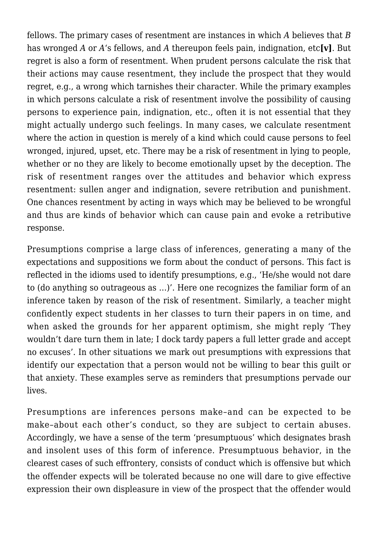fellows. The primary cases of resentment are instances in which *A* believes that *B* has wronged *A* or *A*'s fellows, and *A* thereupon feels pain, indignation, etc**[v]**. But regret is also a form of resentment. When prudent persons calculate the risk that their actions may cause resentment, they include the prospect that they would regret, e.g., a wrong which tarnishes their character. While the primary examples in which persons calculate a risk of resentment involve the possibility of causing persons to experience pain, indignation, etc., often it is not essential that they might actually undergo such feelings. In many cases, we calculate resentment where the action in question is merely of a kind which could cause persons to feel wronged, injured, upset, etc. There may be a risk of resentment in lying to people, whether or no they are likely to become emotionally upset by the deception. The risk of resentment ranges over the attitudes and behavior which express resentment: sullen anger and indignation, severe retribution and punishment. One chances resentment by acting in ways which may be believed to be wrongful and thus are kinds of behavior which can cause pain and evoke a retributive response.

Presumptions comprise a large class of inferences, generating a many of the expectations and suppositions we form about the conduct of persons. This fact is reflected in the idioms used to identify presumptions, e.g., 'He/she would not dare to (do anything so outrageous as …)'. Here one recognizes the familiar form of an inference taken by reason of the risk of resentment. Similarly, a teacher might confidently expect students in her classes to turn their papers in on time, and when asked the grounds for her apparent optimism, she might reply 'They wouldn't dare turn them in late; I dock tardy papers a full letter grade and accept no excuses'. In other situations we mark out presumptions with expressions that identify our expectation that a person would not be willing to bear this guilt or that anxiety. These examples serve as reminders that presumptions pervade our lives.

Presumptions are inferences persons make–and can be expected to be make–about each other's conduct, so they are subject to certain abuses. Accordingly, we have a sense of the term 'presumptuous' which designates brash and insolent uses of this form of inference. Presumptuous behavior, in the clearest cases of such effrontery, consists of conduct which is offensive but which the offender expects will be tolerated because no one will dare to give effective expression their own displeasure in view of the prospect that the offender would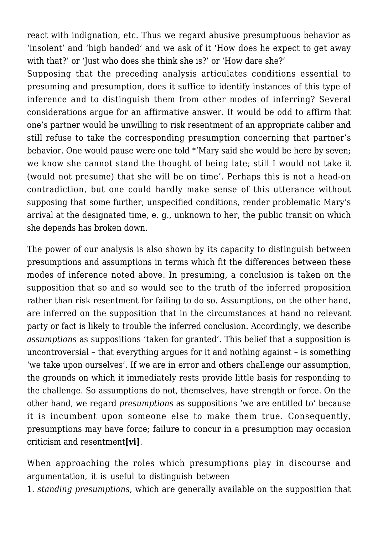react with indignation, etc. Thus we regard abusive presumptuous behavior as 'insolent' and 'high handed' and we ask of it 'How does he expect to get away with that?' or 'Just who does she think she is?' or 'How dare she?'

Supposing that the preceding analysis articulates conditions essential to presuming and presumption, does it suffice to identify instances of this type of inference and to distinguish them from other modes of inferring? Several considerations argue for an affirmative answer. It would be odd to affirm that one's partner would be unwilling to risk resentment of an appropriate caliber and still refuse to take the corresponding presumption concerning that partner's behavior. One would pause were one told \*'Mary said she would be here by seven; we know she cannot stand the thought of being late; still I would not take it (would not presume) that she will be on time'. Perhaps this is not a head-on contradiction, but one could hardly make sense of this utterance without supposing that some further, unspecified conditions, render problematic Mary's arrival at the designated time, e. g., unknown to her, the public transit on which she depends has broken down.

The power of our analysis is also shown by its capacity to distinguish between presumptions and assumptions in terms which fit the differences between these modes of inference noted above. In presuming, a conclusion is taken on the supposition that so and so would see to the truth of the inferred proposition rather than risk resentment for failing to do so. Assumptions, on the other hand, are inferred on the supposition that in the circumstances at hand no relevant party or fact is likely to trouble the inferred conclusion. Accordingly, we describe *assumptions* as suppositions 'taken for granted'. This belief that a supposition is uncontroversial – that everything argues for it and nothing against – is something 'we take upon ourselves'. If we are in error and others challenge our assumption, the grounds on which it immediately rests provide little basis for responding to the challenge. So assumptions do not, themselves, have strength or force. On the other hand, we regard *presumptions* as suppositions 'we are entitled to' because it is incumbent upon someone else to make them true. Consequently, presumptions may have force; failure to concur in a presumption may occasion criticism and resentment**[vi]**.

When approaching the roles which presumptions play in discourse and argumentation, it is useful to distinguish between

1. *standing presumptions*, which are generally available on the supposition that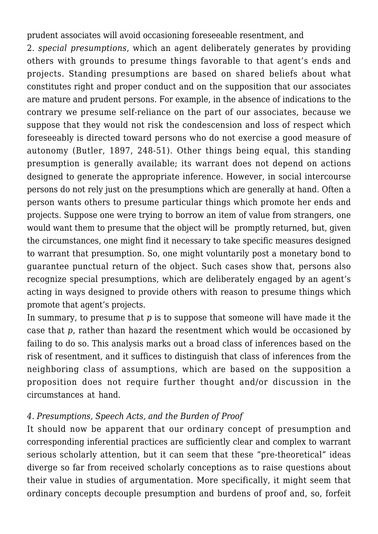prudent associates will avoid occasioning foreseeable resentment, and 2. *special presumptions*, which an agent deliberately generates by providing others with grounds to presume things favorable to that agent's ends and projects. Standing presumptions are based on shared beliefs about what constitutes right and proper conduct and on the supposition that our associates are mature and prudent persons. For example, in the absence of indications to the contrary we presume self-reliance on the part of our associates, because we suppose that they would not risk the condescension and loss of respect which foreseeably is directed toward persons who do not exercise a good measure of autonomy (Butler, 1897, 248-51). Other things being equal, this standing presumption is generally available; its warrant does not depend on actions designed to generate the appropriate inference. However, in social intercourse persons do not rely just on the presumptions which are generally at hand. Often a person wants others to presume particular things which promote her ends and projects. Suppose one were trying to borrow an item of value from strangers, one would want them to presume that the object will be promptly returned, but, given the circumstances, one might find it necessary to take specific measures designed to warrant that presumption. So, one might voluntarily post a monetary bond to guarantee punctual return of the object. Such cases show that, persons also recognize special presumptions, which are deliberately engaged by an agent's acting in ways designed to provide others with reason to presume things which promote that agent's projects.

In summary, to presume that *p* is to suppose that someone will have made it the case that *p*, rather than hazard the resentment which would be occasioned by failing to do so. This analysis marks out a broad class of inferences based on the risk of resentment, and it suffices to distinguish that class of inferences from the neighboring class of assumptions, which are based on the supposition a proposition does not require further thought and/or discussion in the circumstances at hand.

#### *4. Presumptions, Speech Acts, and the Burden of Proof*

It should now be apparent that our ordinary concept of presumption and corresponding inferential practices are sufficiently clear and complex to warrant serious scholarly attention, but it can seem that these "pre-theoretical" ideas diverge so far from received scholarly conceptions as to raise questions about their value in studies of argumentation. More specifically, it might seem that ordinary concepts decouple presumption and burdens of proof and, so, forfeit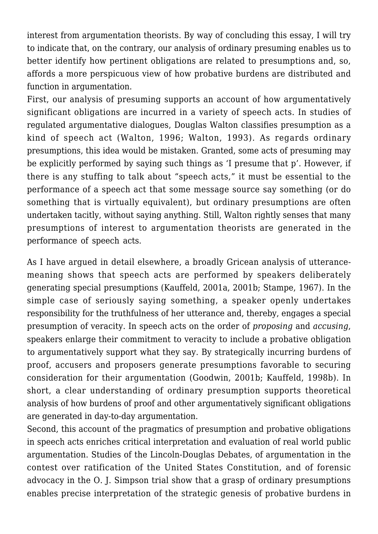interest from argumentation theorists. By way of concluding this essay, I will try to indicate that, on the contrary, our analysis of ordinary presuming enables us to better identify how pertinent obligations are related to presumptions and, so, affords a more perspicuous view of how probative burdens are distributed and function in argumentation.

First, our analysis of presuming supports an account of how argumentatively significant obligations are incurred in a variety of speech acts. In studies of regulated argumentative dialogues, Douglas Walton classifies presumption as a kind of speech act (Walton, 1996; Walton, 1993). As regards ordinary presumptions, this idea would be mistaken. Granted, some acts of presuming may be explicitly performed by saying such things as 'I presume that p'. However, if there is any stuffing to talk about "speech acts," it must be essential to the performance of a speech act that some message source say something (or do something that is virtually equivalent), but ordinary presumptions are often undertaken tacitly, without saying anything. Still, Walton rightly senses that many presumptions of interest to argumentation theorists are generated in the performance of speech acts.

As I have argued in detail elsewhere, a broadly Gricean analysis of utterancemeaning shows that speech acts are performed by speakers deliberately generating special presumptions (Kauffeld, 2001a, 2001b; Stampe, 1967). In the simple case of seriously saying something, a speaker openly undertakes responsibility for the truthfulness of her utterance and, thereby, engages a special presumption of veracity. In speech acts on the order of *proposing* and *accusing*, speakers enlarge their commitment to veracity to include a probative obligation to argumentatively support what they say. By strategically incurring burdens of proof, accusers and proposers generate presumptions favorable to securing consideration for their argumentation (Goodwin, 2001b; Kauffeld, 1998b). In short, a clear understanding of ordinary presumption supports theoretical analysis of how burdens of proof and other argumentatively significant obligations are generated in day-to-day argumentation.

Second, this account of the pragmatics of presumption and probative obligations in speech acts enriches critical interpretation and evaluation of real world public argumentation. Studies of the Lincoln-Douglas Debates, of argumentation in the contest over ratification of the United States Constitution, and of forensic advocacy in the O. J. Simpson trial show that a grasp of ordinary presumptions enables precise interpretation of the strategic genesis of probative burdens in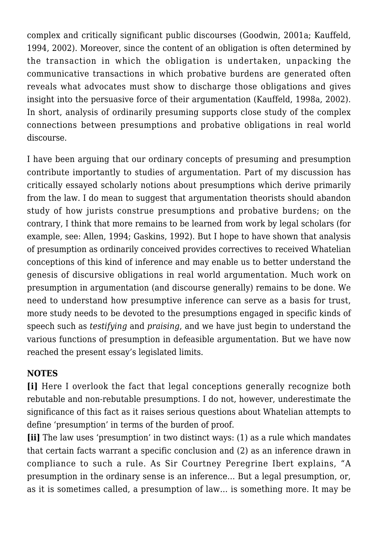complex and critically significant public discourses (Goodwin, 2001a; Kauffeld, 1994, 2002). Moreover, since the content of an obligation is often determined by the transaction in which the obligation is undertaken, unpacking the communicative transactions in which probative burdens are generated often reveals what advocates must show to discharge those obligations and gives insight into the persuasive force of their argumentation (Kauffeld, 1998a, 2002). In short, analysis of ordinarily presuming supports close study of the complex connections between presumptions and probative obligations in real world discourse.

I have been arguing that our ordinary concepts of presuming and presumption contribute importantly to studies of argumentation. Part of my discussion has critically essayed scholarly notions about presumptions which derive primarily from the law. I do mean to suggest that argumentation theorists should abandon study of how jurists construe presumptions and probative burdens; on the contrary, I think that more remains to be learned from work by legal scholars (for example, see: Allen, 1994; Gaskins, 1992). But I hope to have shown that analysis of presumption as ordinarily conceived provides correctives to received Whatelian conceptions of this kind of inference and may enable us to better understand the genesis of discursive obligations in real world argumentation. Much work on presumption in argumentation (and discourse generally) remains to be done. We need to understand how presumptive inference can serve as a basis for trust, more study needs to be devoted to the presumptions engaged in specific kinds of speech such as *testifying* and *praising*, and we have just begin to understand the various functions of presumption in defeasible argumentation. But we have now reached the present essay's legislated limits.

## **NOTES**

**[i]** Here I overlook the fact that legal conceptions generally recognize both rebutable and non-rebutable presumptions. I do not, however, underestimate the significance of this fact as it raises serious questions about Whatelian attempts to define 'presumption' in terms of the burden of proof.

**[ii]** The law uses 'presumption' in two distinct ways: (1) as a rule which mandates that certain facts warrant a specific conclusion and (2) as an inference drawn in compliance to such a rule. As Sir Courtney Peregrine Ibert explains, "A presumption in the ordinary sense is an inference… But a legal presumption, or, as it is sometimes called, a presumption of law… is something more. It may be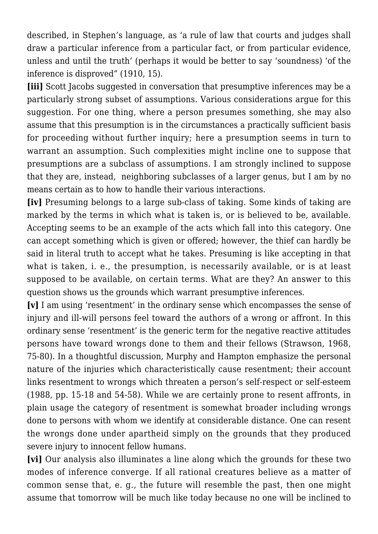described, in Stephen's language, as 'a rule of law that courts and judges shall draw a particular inference from a particular fact, or from particular evidence, unless and until the truth' (perhaps it would be better to say 'soundness) 'of the inference is disproved" (1910, 15).

*Iiiil* Scott Jacobs suggested in conversation that presumptive inferences may be a particularly strong subset of assumptions. Various considerations argue for this suggestion. For one thing, where a person presumes something, she may also assume that this presumption is in the circumstances a practically sufficient basis for proceeding without further inquiry; here a presumption seems in turn to warrant an assumption. Such complexities might incline one to suppose that presumptions are a subclass of assumptions. I am strongly inclined to suppose that they are, instead, neighboring subclasses of a larger genus, but I am by no means certain as to how to handle their various interactions.

**[iv]** Presuming belongs to a large sub-class of taking. Some kinds of taking are marked by the terms in which what is taken is, or is believed to be, available. Accepting seems to be an example of the acts which fall into this category. One can accept something which is given or offered; however, the thief can hardly be said in literal truth to accept what he takes. Presuming is like accepting in that what is taken, i. e., the presumption, is necessarily available, or is at least supposed to be available, on certain terms. What are they? An answer to this question shows us the grounds which warrant presumptive inferences.

**[v]** I am using 'resentment' in the ordinary sense which encompasses the sense of injury and ill-will persons feel toward the authors of a wrong or affront. In this ordinary sense 'resentment' is the generic term for the negative reactive attitudes persons have toward wrongs done to them and their fellows (Strawson, 1968, 75-80). In a thoughtful discussion, Murphy and Hampton emphasize the personal nature of the injuries which characteristically cause resentment; their account links resentment to wrongs which threaten a person's self-respect or self-esteem (1988, pp. 15-18 and 54-58). While we are certainly prone to resent affronts, in plain usage the category of resentment is somewhat broader including wrongs done to persons with whom we identify at considerable distance. One can resent the wrongs done under apartheid simply on the grounds that they produced severe injury to innocent fellow humans.

**[vi]** Our analysis also illuminates a line along which the grounds for these two modes of inference converge. If all rational creatures believe as a matter of common sense that, e. g., the future will resemble the past, then one might assume that tomorrow will be much like today because no one will be inclined to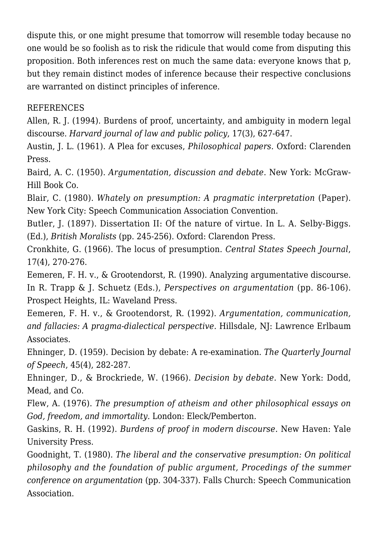dispute this, or one might presume that tomorrow will resemble today because no one would be so foolish as to risk the ridicule that would come from disputing this proposition. Both inferences rest on much the same data: everyone knows that p, but they remain distinct modes of inference because their respective conclusions are warranted on distinct principles of inference.

## **REFERENCES**

Allen, R. J. (1994). Burdens of proof, uncertainty, and ambiguity in modern legal discourse. *Harvard journal of law and public policy*, 17(3), 627-647.

Austin, J. L. (1961). A Plea for excuses, *Philosophical papers.* Oxford: Clarenden Press.

Baird, A. C. (1950). *Argumentation, discussion and debate*. New York: McGraw-Hill Book Co.

Blair, C. (1980). *Whately on presumption: A pragmatic interpretation* (Paper). New York City: Speech Communication Association Convention.

Butler, J. (1897). Dissertation II: Of the nature of virtue. In L. A. Selby-Biggs. (Ed.), *British Moralists* (pp. 245-256). Oxford: Clarendon Press.

Cronkhite, G. (1966). The locus of presumption. *Central States Speech Journal*, 17(4), 270-276.

Eemeren, F. H. v., & Grootendorst, R. (1990). Analyzing argumentative discourse. In R. Trapp & J. Schuetz (Eds.), *Perspectives on argumentation* (pp. 86-106). Prospect Heights, IL: Waveland Press.

Eemeren, F. H. v., & Grootendorst, R. (1992). *Argumentation, communication, and fallacies: A pragma-dialectical perspective.* Hillsdale, NJ: Lawrence Erlbaum Associates.

Ehninger, D. (1959). Decision by debate: A re-examination. *The Quarterly Journal of Speech*, 45(4), 282-287.

Ehninger, D., & Brockriede, W. (1966). *Decision by debate.* New York: Dodd, Mead, and Co.

Flew, A. (1976). *The presumption of atheism and other philosophical essays on God, freedom, and immortality.* London: Eleck/Pemberton.

Gaskins, R. H. (1992). *Burdens of proof in modern discourse.* New Haven: Yale University Press.

Goodnight, T. (1980). *The liberal and the conservative presumption: On political philosophy and the foundation of public argument, Procedings of the summer conference on argumentation* (pp. 304-337). Falls Church: Speech Communication Association.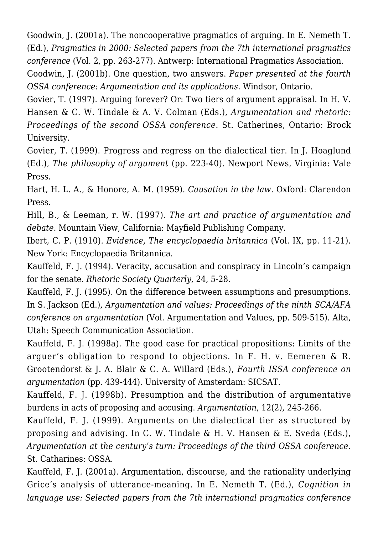Goodwin, J. (2001a). The noncooperative pragmatics of arguing. In E. Nemeth T. (Ed.), *Pragmatics in 2000: Selected papers from the 7th international pragmatics conference* (Vol. 2, pp. 263-277). Antwerp: International Pragmatics Association.

Goodwin, J. (2001b). One question, two answers. *Paper presented at the fourth OSSA conference: Argumentation and its applications.* Windsor, Ontario.

Govier, T. (1997). Arguing forever? Or: Two tiers of argument appraisal. In H. V. Hansen & C. W. Tindale & A. V. Colman (Eds.), *Argumentation and rhetoric: Proceedings of the second OSSA conference.* St. Catherines, Ontario: Brock University.

Govier, T. (1999). Progress and regress on the dialectical tier. In J. Hoaglund (Ed.), *The philosophy of argument* (pp. 223-40). Newport News, Virginia: Vale Press.

Hart, H. L. A., & Honore, A. M. (1959). *Causation in the law.* Oxford: Clarendon Press.

Hill, B., & Leeman, r. W. (1997). *The art and practice of argumentation and debate*. Mountain View, California: Mayfield Publishing Company.

Ibert, C. P. (1910). *Evidence, The encyclopaedia britannica* (Vol. IX, pp. 11-21). New York: Encyclopaedia Britannica.

Kauffeld, F. J. (1994). Veracity, accusation and conspiracy in Lincoln's campaign for the senate. *Rhetoric Society Quarterly*, 24, 5-28.

Kauffeld, F. J. (1995). On the difference between assumptions and presumptions. In S. Jackson (Ed.), *Argumentation and values: Proceedings of the ninth SCA/AFA conference on argumentation* (Vol. Argumentation and Values, pp. 509-515). Alta, Utah: Speech Communication Association.

Kauffeld, F. J. (1998a). The good case for practical propositions: Limits of the arguer's obligation to respond to objections. In F. H. v. Eemeren & R. Grootendorst & J. A. Blair & C. A. Willard (Eds.), *Fourth ISSA conference on argumentation* (pp. 439-444). University of Amsterdam: SICSAT.

Kauffeld, F. J. (1998b). Presumption and the distribution of argumentative burdens in acts of proposing and accusing. *Argumentation*, 12(2), 245-266.

Kauffeld, F. J. (1999). Arguments on the dialectical tier as structured by proposing and advising. In C. W. Tindale & H. V. Hansen & E. Sveda (Eds.), *Argumentation at the century's turn: Proceedings of the third OSSA conference.* St. Catharines: OSSA.

Kauffeld, F. J. (2001a). Argumentation, discourse, and the rationality underlying Grice's analysis of utterance-meaning. In E. Nemeth T. (Ed.), *Cognition in language use: Selected papers from the 7th international pragmatics conference*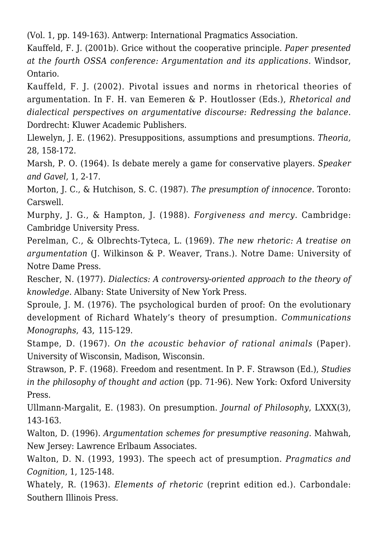(Vol. 1, pp. 149-163). Antwerp: International Pragmatics Association.

Kauffeld, F. J. (2001b). Grice without the cooperative principle. *Paper presented at the fourth OSSA conference: Argumentation and its applications*. Windsor, Ontario.

Kauffeld, F. J. (2002). Pivotal issues and norms in rhetorical theories of argumentation. In F. H. van Eemeren & P. Houtlosser (Eds.), *Rhetorical and dialectical perspectives on argumentative discourse: Redressing the balance*. Dordrecht: Kluwer Academic Publishers.

Llewelyn, J. E. (1962). Presuppositions, assumptions and presumptions. *Theoria,* 28, 158-172.

Marsh, P. O. (1964). Is debate merely a game for conservative players. *Speaker and Gavel,* 1, 2-17.

Morton, J. C., & Hutchison, S. C. (1987). *The presumption of innocence*. Toronto: Carswell.

Murphy, J. G., & Hampton, J. (1988). *Forgiveness and mercy*. Cambridge: Cambridge University Press.

Perelman, C., & Olbrechts-Tyteca, L. (1969). *The new rhetoric: A treatise on argumentation* (J. Wilkinson & P. Weaver, Trans.). Notre Dame: University of Notre Dame Press.

Rescher, N. (1977). *Dialectics: A controversy-oriented approach to the theory of knowledge*. Albany: State University of New York Press.

Sproule, J. M. (1976). The psychological burden of proof: On the evolutionary development of Richard Whately's theory of presumption. *Communications Monographs*, 43, 115-129.

Stampe, D. (1967). *On the acoustic behavior of rational animals* (Paper). University of Wisconsin, Madison, Wisconsin.

Strawson, P. F. (1968). Freedom and resentment. In P. F. Strawson (Ed.), *Studies in the philosophy of thought and action* (pp. 71-96). New York: Oxford University Press.

Ullmann-Margalit, E. (1983). On presumption. *Journal of Philosophy*, LXXX(3), 143-163.

Walton, D. (1996). *Argumentation schemes for presumptive reasoning*. Mahwah, New Jersey: Lawrence Erlbaum Associates.

Walton, D. N. (1993, 1993). The speech act of presumption. *Pragmatics and Cognition*, 1, 125-148.

Whately, R. (1963). *Elements of rhetoric* (reprint edition ed.). Carbondale: Southern Illinois Press.